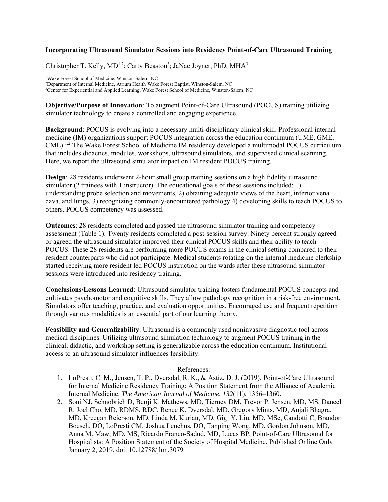## **Incorporating Ultrasound Simulator Sessions into Residency Point-of-Care Ultrasound Training**

Christopher T. Kelly,  $MD^{1,2}$ ; Carty Beaston<sup>3</sup>; JaNae Joyner, PhD, MHA<sup>3</sup>

<sup>1</sup>Wake Forest School of Medicine, Winston-Salem, NC<br><sup>2</sup>Department of Internal Medicine, Atrium Health Wake <sup>2</sup>Department of Internal Medicine, Atrium Health Wake Forest Baptist, Winston-Salem, NC <sup>3</sup>Center for Experiential and Applied Learning, Wake Forest School of Medicine, Winston-Salem, NC

**Objective/Purpose of Innovation**: To augment Point-of-Care Ultrasound (POCUS) training utilizing simulator technology to create a controlled and engaging experience.

**Background**: POCUS is evolving into a necessary multi-disciplinary clinical skill. Professional internal medicine (IM) organizations support POCUS integration across the education continuum (UME, GME, CME).1,2 The Wake Forest School of Medicine IM residency developed a multimodal POCUS curriculum that includes didactics, modules, workshops, ultrasound simulators, and supervised clinical scanning. Here, we report the ultrasound simulator impact on IM resident POCUS training.

**Design**: 28 residents underwent 2-hour small group training sessions on a high fidelity ultrasound simulator (2 trainees with 1 instructor). The educational goals of these sessions included: 1) understanding probe selection and movements, 2) obtaining adequate views of the heart, inferior vena cava, and lungs, 3) recognizing commonly-encountered pathology 4) developing skills to teach POCUS to others. POCUS competency was assessed.

**Outcomes**: 28 residents completed and passed the ultrasound simulator training and competency assessment (Table 1). Twenty residents completed a post-session survey. Ninety percent strongly agreed or agreed the ultrasound simulator improved their clinical POCUS skills and their ability to teach POCUS. These 28 residents are performing more POCUS exams in the clinical setting compared to their resident counterparts who did not participate. Medical students rotating on the internal medicine clerkship started receiving more resident led POCUS instruction on the wards after these ultrasound simulator sessions were introduced into residency training.

**Conclusions/Lessons Learned**: Ultrasound simulator training fosters fundamental POCUS concepts and cultivates psychomotor and cognitive skills. They allow pathology recognition in a risk-free environment. Simulators offer teaching, practice, and evaluation opportunities. Encouraged use and frequent repetition through various modalities is an essential part of our learning theory.

**Feasibility and Generalizability**: Ultrasound is a commonly used noninvasive diagnostic tool across medical disciplines. Utilizing ultrasound simulation technology to augment POCUS training in the clinical, didactic, and workshop setting is generalizable across the education continuum. Institutional access to an ultrasound simulator influences feasibility.

## References:

- 1. LoPresti, C. M., Jensen, T. P., Dversdal, R. K., & Astiz, D. J. (2019). Point-of-Care Ultrasound for Internal Medicine Residency Training: A Position Statement from the Alliance of Academic Internal Medicine. *The American Journal of Medicine*, *132*(11), 1356–1360.
- 2. Soni NJ, Schnobrich D, Benji K. Mathews, MD, Tierney DM, Trevor P. Jensen, MD, MS, Dancel R, Joel Cho, MD, RDMS, RDC, Renee K. Dversdal, MD, Gregory Mints, MD, Anjali Bhagra, MD, Kreegan Reierson, MD, Linda M. Kurian, MD, Gigi Y. Liu, MD, MSc, Candotti C, Brandon Boesch, DO, LoPresti CM, Joshua Lenchus, DO, Tanping Wong, MD, Gordon Johnson, MD, Anna M. Maw, MD, MS, Ricardo Franco-Sadud, MD, Lucas BP, Point-of-Care Ultrasound for Hospitalists: A Position Statement of the Society of Hospital Medicine. Published Online Only January 2, 2019. doi: 10.12788/jhm.3079